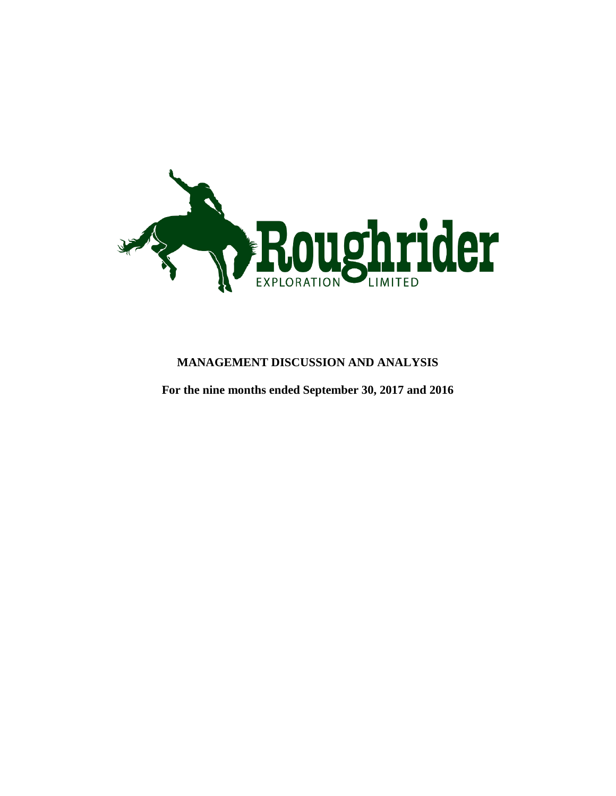

### **MANAGEMENT DISCUSSION AND ANALYSIS**

**For the nine months ended September 30, 2017 and 2016**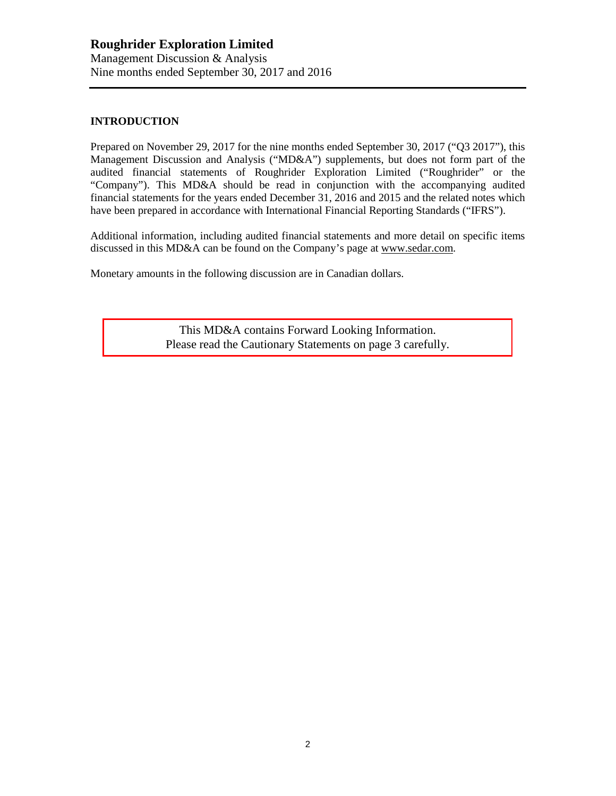#### **INTRODUCTION**

Prepared on November 29, 2017 for the nine months ended September 30, 2017 ("Q3 2017"), this Management Discussion and Analysis ("MD&A") supplements, but does not form part of the audited financial statements of Roughrider Exploration Limited ("Roughrider" or the "Company"). This MD&A should be read in conjunction with the accompanying audited financial statements for the years ended December 31, 2016 and 2015 and the related notes which have been prepared in accordance with International Financial Reporting Standards ("IFRS").

Additional information, including audited financial statements and more detail on specific items discussed in this MD&A can be found on the Company's page at [www.sedar.com.](http://www.sedar.com/)

Monetary amounts in the following discussion are in Canadian dollars.

This MD&A contains Forward Looking Information. Please read the Cautionary Statements on page 3 carefully.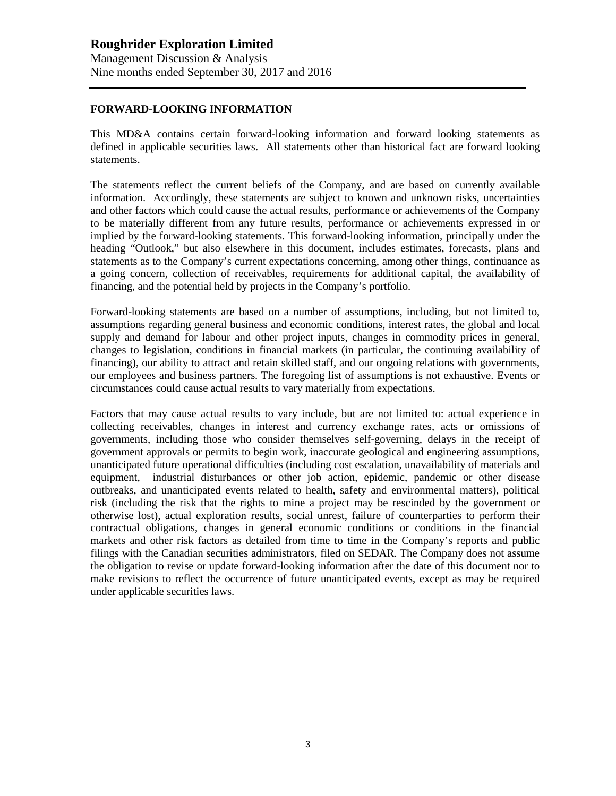#### **FORWARD-LOOKING INFORMATION**

This MD&A contains certain forward-looking information and forward looking statements as defined in applicable securities laws. All statements other than historical fact are forward looking statements.

The statements reflect the current beliefs of the Company, and are based on currently available information. Accordingly, these statements are subject to known and unknown risks, uncertainties and other factors which could cause the actual results, performance or achievements of the Company to be materially different from any future results, performance or achievements expressed in or implied by the forward-looking statements. This forward-looking information, principally under the heading "Outlook," but also elsewhere in this document, includes estimates, forecasts, plans and statements as to the Company's current expectations concerning, among other things, continuance as a going concern, collection of receivables, requirements for additional capital, the availability of financing, and the potential held by projects in the Company's portfolio.

Forward-looking statements are based on a number of assumptions, including, but not limited to, assumptions regarding general business and economic conditions, interest rates, the global and local supply and demand for labour and other project inputs, changes in commodity prices in general, changes to legislation, conditions in financial markets (in particular, the continuing availability of financing), our ability to attract and retain skilled staff, and our ongoing relations with governments, our employees and business partners. The foregoing list of assumptions is not exhaustive. Events or circumstances could cause actual results to vary materially from expectations.

Factors that may cause actual results to vary include, but are not limited to: actual experience in collecting receivables, changes in interest and currency exchange rates, acts or omissions of governments, including those who consider themselves self-governing, delays in the receipt of government approvals or permits to begin work, inaccurate geological and engineering assumptions, unanticipated future operational difficulties (including cost escalation, unavailability of materials and equipment, industrial disturbances or other job action, epidemic, pandemic or other disease outbreaks, and unanticipated events related to health, safety and environmental matters), political risk (including the risk that the rights to mine a project may be rescinded by the government or otherwise lost), actual exploration results, social unrest, failure of counterparties to perform their contractual obligations, changes in general economic conditions or conditions in the financial markets and other risk factors as detailed from time to time in the Company's reports and public filings with the Canadian securities administrators, filed on SEDAR. The Company does not assume the obligation to revise or update forward-looking information after the date of this document nor to make revisions to reflect the occurrence of future unanticipated events, except as may be required under applicable securities laws.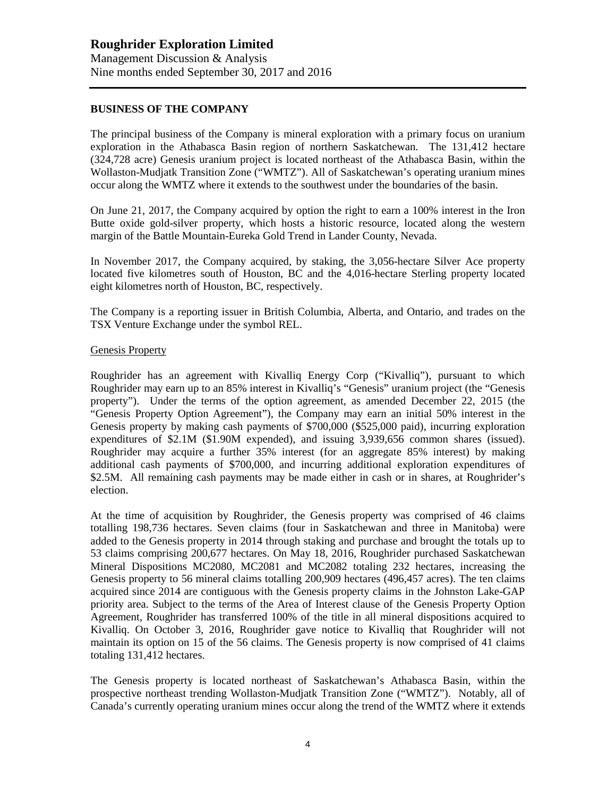#### **BUSINESS OF THE COMPANY**

The principal business of the Company is mineral exploration with a primary focus on uranium exploration in the Athabasca Basin region of northern Saskatchewan. The 131,412 hectare (324,728 acre) Genesis uranium project is located northeast of the Athabasca Basin, within the Wollaston-Mudjatk Transition Zone ("WMTZ"). All of Saskatchewan's operating uranium mines occur along the WMTZ where it extends to the southwest under the boundaries of the basin.

On June 21, 2017, the Company acquired by option the right to earn a 100% interest in the Iron Butte oxide gold-silver property, which hosts a historic resource, located along the western margin of the Battle Mountain-Eureka Gold Trend in Lander County, Nevada.

In November 2017, the Company acquired, by staking, the 3,056-hectare Silver Ace property located five kilometres south of Houston, BC and the 4,016-hectare Sterling property located eight kilometres north of Houston, BC, respectively.

The Company is a reporting issuer in British Columbia, Alberta, and Ontario, and trades on the TSX Venture Exchange under the symbol REL.

#### Genesis Property

Roughrider has an agreement with Kivalliq Energy Corp ("Kivalliq"), pursuant to which Roughrider may earn up to an 85% interest in Kivalliq's "Genesis" uranium project (the "Genesis property"). Under the terms of the option agreement, as amended December 22, 2015 (the "Genesis Property Option Agreement"), the Company may earn an initial 50% interest in the Genesis property by making cash payments of \$700,000 (\$525,000 paid), incurring exploration expenditures of \$2.1M (\$1.90M expended), and issuing 3,939,656 common shares (issued). Roughrider may acquire a further 35% interest (for an aggregate 85% interest) by making additional cash payments of \$700,000, and incurring additional exploration expenditures of \$2.5M. All remaining cash payments may be made either in cash or in shares, at Roughrider's election.

At the time of acquisition by Roughrider, the Genesis property was comprised of 46 claims totalling 198,736 hectares. Seven claims (four in Saskatchewan and three in Manitoba) were added to the Genesis property in 2014 through staking and purchase and brought the totals up to 53 claims comprising 200,677 hectares. On May 18, 2016, Roughrider purchased Saskatchewan Mineral Dispositions MC2080, MC2081 and MC2082 totaling 232 hectares, increasing the Genesis property to 56 mineral claims totalling 200,909 hectares (496,457 acres). The ten claims acquired since 2014 are contiguous with the Genesis property claims in the Johnston Lake-GAP priority area. Subject to the terms of the Area of Interest clause of the Genesis Property Option Agreement, Roughrider has transferred 100% of the title in all mineral dispositions acquired to Kivalliq. On October 3, 2016, Roughrider gave notice to Kivalliq that Roughrider will not maintain its option on 15 of the 56 claims. The Genesis property is now comprised of 41 claims totaling 131,412 hectares.

The Genesis property is located northeast of Saskatchewan's Athabasca Basin, within the prospective northeast trending Wollaston-Mudjatk Transition Zone ("WMTZ"). Notably, all of Canada's currently operating uranium mines occur along the trend of the WMTZ where it extends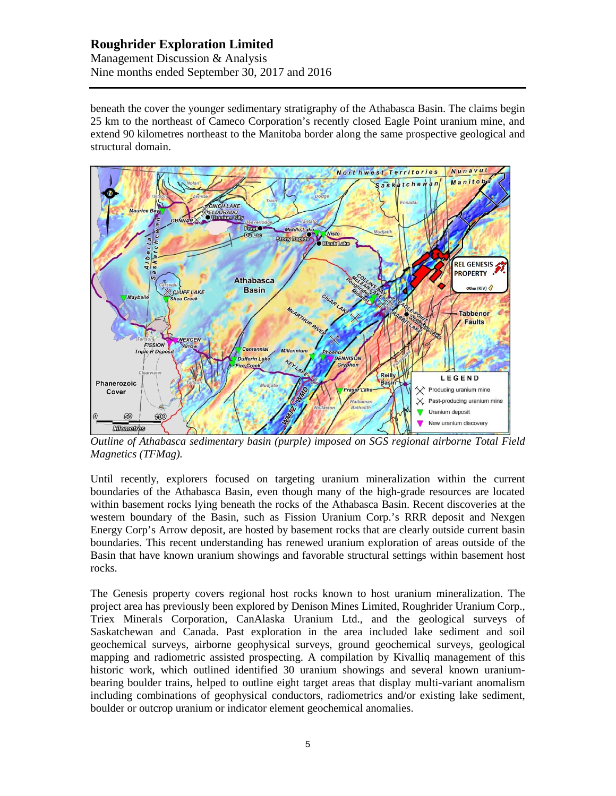#### **Roughrider Exploration Limited** Management Discussion & Analysis Nine months ended September 30, 2017 and 2016

beneath the cover the younger sedimentary stratigraphy of the Athabasca Basin. The claims begin 25 km to the northeast of Cameco Corporation's recently closed Eagle Point uranium mine, and extend 90 kilometres northeast to the Manitoba border along the same prospective geological and structural domain.



*Outline of Athabasca sedimentary basin (purple) imposed on SGS regional airborne Total Field Magnetics (TFMag).* 

Until recently, explorers focused on targeting uranium mineralization within the current boundaries of the Athabasca Basin, even though many of the high-grade resources are located within basement rocks lying beneath the rocks of the Athabasca Basin. Recent discoveries at the western boundary of the Basin, such as Fission Uranium Corp.'s RRR deposit and Nexgen Energy Corp's Arrow deposit, are hosted by basement rocks that are clearly outside current basin boundaries. This recent understanding has renewed uranium exploration of areas outside of the Basin that have known uranium showings and favorable structural settings within basement host rocks.

The Genesis property covers regional host rocks known to host uranium mineralization. The project area has previously been explored by Denison Mines Limited, Roughrider Uranium Corp., Triex Minerals Corporation, CanAlaska Uranium Ltd., and the geological surveys of Saskatchewan and Canada. Past exploration in the area included lake sediment and soil geochemical surveys, airborne geophysical surveys, ground geochemical surveys, geological mapping and radiometric assisted prospecting. A compilation by Kivalliq management of this historic work, which outlined identified 30 uranium showings and several known uraniumbearing boulder trains, helped to outline eight target areas that display multi-variant anomalism including combinations of geophysical conductors, radiometrics and/or existing lake sediment, boulder or outcrop uranium or indicator element geochemical anomalies.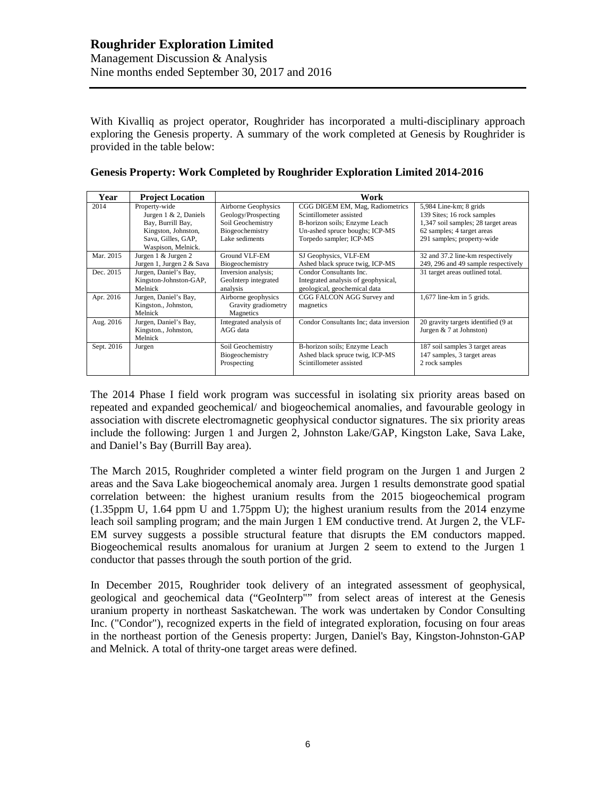With Kivalliq as project operator, Roughrider has incorporated a multi-disciplinary approach exploring the Genesis property. A summary of the work completed at Genesis by Roughrider is provided in the table below:

| Year       | <b>Project Location</b>                                                                                                            | Work                                                                                                 |                                                                                                                                                          |                                                                                                                                                         |  |
|------------|------------------------------------------------------------------------------------------------------------------------------------|------------------------------------------------------------------------------------------------------|----------------------------------------------------------------------------------------------------------------------------------------------------------|---------------------------------------------------------------------------------------------------------------------------------------------------------|--|
| 2014       | Property-wide<br>Jurgen $1 \& 2$ , Daniels<br>Bay, Burrill Bay,<br>Kingston, Johnston,<br>Sava, Gilles, GAP,<br>Waspison, Melnick. | Airborne Geophysics<br>Geology/Prospecting<br>Soil Geochemistry<br>Biogeochemistry<br>Lake sediments | CGG DIGEM EM, Mag, Radiometrics<br>Scintillometer assisted<br>B-horizon soils; Enzyme Leach<br>Un-ashed spruce boughs; ICP-MS<br>Torpedo sampler; ICP-MS | 5,984 Line-km; 8 grids<br>139 Sites; 16 rock samples<br>1,347 soil samples; 28 target areas<br>62 samples; 4 target areas<br>291 samples; property-wide |  |
| Mar. 2015  | Jurgen 1 & Jurgen 2<br>Jurgen 1, Jurgen 2 & Sava                                                                                   | Ground VLF-EM<br>Biogeochemistry                                                                     | SJ Geophysics, VLF-EM<br>Ashed black spruce twig, ICP-MS                                                                                                 | 32 and 37.2 line-km respectively<br>249, 296 and 49 sample respectively                                                                                 |  |
| Dec. 2015  | Jurgen, Daniel's Bay,<br>Kingston-Johnston-GAP,<br>Melnick                                                                         | Inversion analysis;<br>GeoInterp integrated<br>analysis                                              | Condor Consultants Inc.<br>Integrated analysis of geophysical,<br>geological, geochemical data                                                           | 31 target areas outlined total.                                                                                                                         |  |
| Apr. 2016  | Jurgen, Daniel's Bay,<br>Kingston., Johnston,<br>Melnick                                                                           | Airborne geophysics<br>Gravity gradiometry<br>Magnetics                                              | CGG FALCON AGG Survey and<br>magnetics                                                                                                                   | $1,677$ line-km in 5 grids.                                                                                                                             |  |
| Aug. 2016  | Jurgen, Daniel's Bay,<br>Kingston., Johnston,<br>Melnick                                                                           | Integrated analysis of<br>AGG data                                                                   | Condor Consultants Inc; data inversion                                                                                                                   | 20 gravity targets identified (9 at<br>Jurgen $& 7$ at Johnston)                                                                                        |  |
| Sept. 2016 | Jurgen                                                                                                                             | Soil Geochemistry<br>Biogeochemistry<br>Prospecting                                                  | B-horizon soils; Enzyme Leach<br>Ashed black spruce twig, ICP-MS<br>Scintillometer assisted                                                              | 187 soil samples 3 target areas<br>147 samples, 3 target areas<br>2 rock samples                                                                        |  |

#### **Genesis Property: Work Completed by Roughrider Exploration Limited 2014-2016**

The 2014 Phase I field work program was successful in isolating six priority areas based on repeated and expanded geochemical/ and biogeochemical anomalies, and favourable geology in association with discrete electromagnetic geophysical conductor signatures. The six priority areas include the following: Jurgen 1 and Jurgen 2, Johnston Lake/GAP, Kingston Lake, Sava Lake, and Daniel's Bay (Burrill Bay area).

The March 2015, Roughrider completed a winter field program on the Jurgen 1 and Jurgen 2 areas and the Sava Lake biogeochemical anomaly area. Jurgen 1 results demonstrate good spatial correlation between: the highest uranium results from the 2015 biogeochemical program (1.35ppm U, 1.64 ppm U and 1.75ppm U); the highest uranium results from the 2014 enzyme leach soil sampling program; and the main Jurgen 1 EM conductive trend. At Jurgen 2, the VLF-EM survey suggests a possible structural feature that disrupts the EM conductors mapped. Biogeochemical results anomalous for uranium at Jurgen 2 seem to extend to the Jurgen 1 conductor that passes through the south portion of the grid.

In December 2015, Roughrider took delivery of an integrated assessment of geophysical, geological and geochemical data ("GeoInterp"" from select areas of interest at the Genesis uranium property in northeast Saskatchewan. The work was undertaken by Condor Consulting Inc. ("Condor"), recognized experts in the field of integrated exploration, focusing on four areas in the northeast portion of the Genesis property: Jurgen, Daniel's Bay, Kingston-Johnston-GAP and Melnick. A total of thrity-one target areas were defined.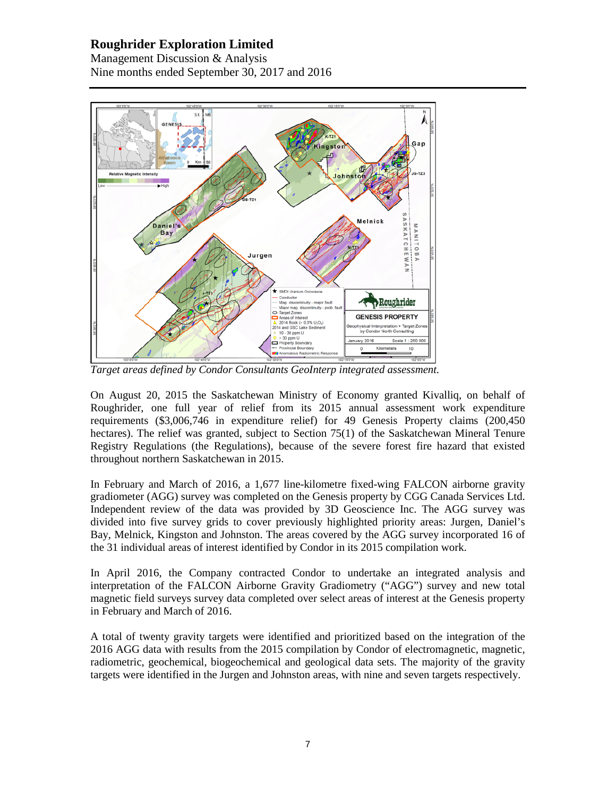Management Discussion & Analysis Nine months ended September 30, 2017 and 2016



*Target areas defined by Condor Consultants GeoInterp integrated assessment.*

On August 20, 2015 the Saskatchewan Ministry of Economy granted Kivalliq, on behalf of Roughrider, one full year of relief from its 2015 annual assessment work expenditure requirements (\$3,006,746 in expenditure relief) for 49 Genesis Property claims (200,450 hectares). The relief was granted, subject to Section 75(1) of the Saskatchewan Mineral Tenure Registry Regulations (the Regulations), because of the severe forest fire hazard that existed throughout northern Saskatchewan in 2015.

In February and March of 2016, a 1,677 line-kilometre fixed-wing FALCON airborne gravity gradiometer (AGG) survey was completed on the Genesis property by CGG Canada Services Ltd. Independent review of the data was provided by 3D Geoscience Inc. The AGG survey was divided into five survey grids to cover previously highlighted priority areas: Jurgen, Daniel's Bay, Melnick, Kingston and Johnston. The areas covered by the AGG survey incorporated 16 of the 31 individual areas of interest identified by Condor in its 2015 compilation work.

In April 2016, the Company contracted Condor to undertake an integrated analysis and interpretation of the FALCON Airborne Gravity Gradiometry ("AGG") survey and new total magnetic field surveys survey data completed over select areas of interest at the Genesis property in February and March of 2016.

A total of twenty gravity targets were identified and prioritized based on the integration of the 2016 AGG data with results from the 2015 compilation by Condor of electromagnetic, magnetic, radiometric, geochemical, biogeochemical and geological data sets. The majority of the gravity targets were identified in the Jurgen and Johnston areas, with nine and seven targets respectively.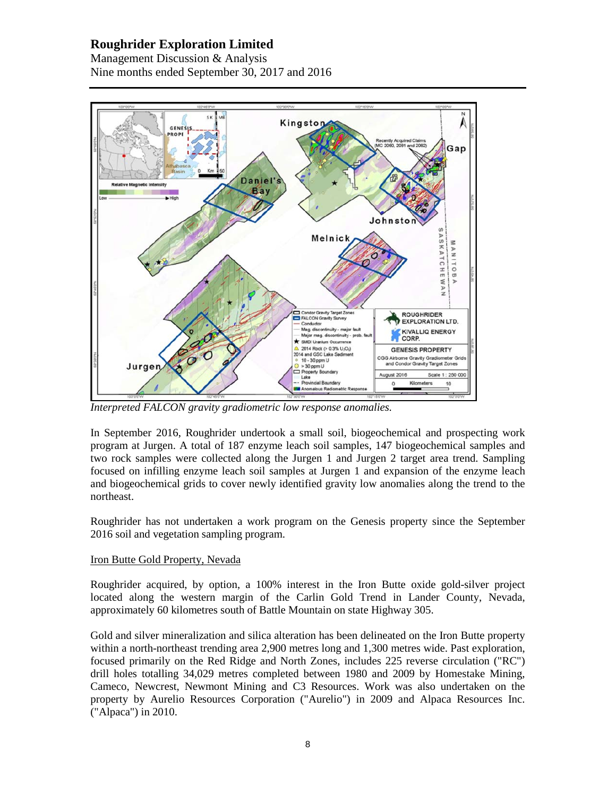Management Discussion & Analysis Nine months ended September 30, 2017 and 2016



*Interpreted FALCON gravity gradiometric low response anomalies.*

In September 2016, Roughrider undertook a small soil, biogeochemical and prospecting work program at Jurgen. A total of 187 enzyme leach soil samples, 147 biogeochemical samples and two rock samples were collected along the Jurgen 1 and Jurgen 2 target area trend. Sampling focused on infilling enzyme leach soil samples at Jurgen 1 and expansion of the enzyme leach and biogeochemical grids to cover newly identified gravity low anomalies along the trend to the northeast.

Roughrider has not undertaken a work program on the Genesis property since the September 2016 soil and vegetation sampling program.

#### Iron Butte Gold Property, Nevada

Roughrider acquired, by option, a 100% interest in the Iron Butte oxide gold-silver project located along the western margin of the Carlin Gold Trend in Lander County, Nevada, approximately 60 kilometres south of Battle Mountain on state Highway 305.

Gold and silver mineralization and silica alteration has been delineated on the Iron Butte property within a north-northeast trending area 2,900 metres long and 1,300 metres wide. Past exploration, focused primarily on the Red Ridge and North Zones, includes 225 reverse circulation ("RC") drill holes totalling 34,029 metres completed between 1980 and 2009 by Homestake Mining, Cameco, Newcrest, Newmont Mining and C3 Resources. Work was also undertaken on the property by Aurelio Resources Corporation ("Aurelio") in 2009 and Alpaca Resources Inc. ("Alpaca") in 2010.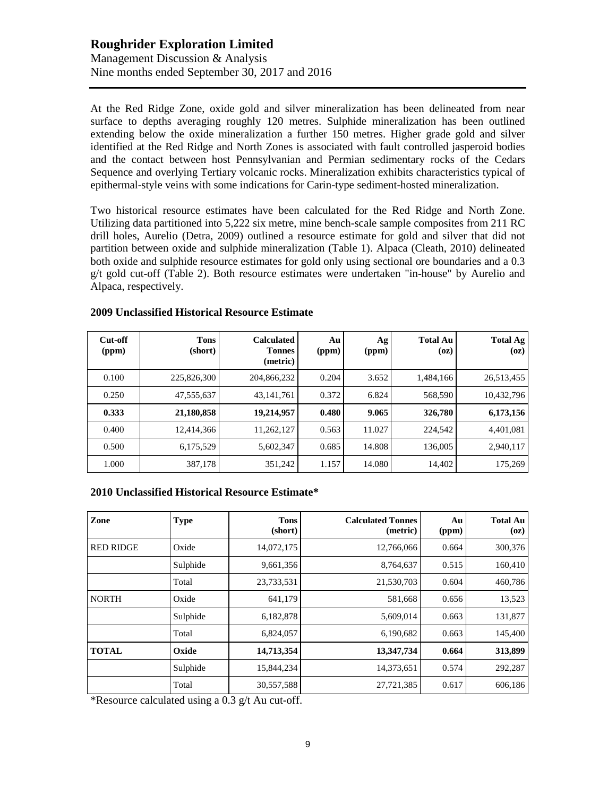# **Roughrider Exploration Limited** Management Discussion & Analysis

Nine months ended September 30, 2017 and 2016

At the Red Ridge Zone, oxide gold and silver mineralization has been delineated from near surface to depths averaging roughly 120 metres. Sulphide mineralization has been outlined extending below the oxide mineralization a further 150 metres. Higher grade gold and silver identified at the Red Ridge and North Zones is associated with fault controlled jasperoid bodies and the contact between host Pennsylvanian and Permian sedimentary rocks of the Cedars Sequence and overlying Tertiary volcanic rocks. Mineralization exhibits characteristics typical of epithermal-style veins with some indications for Carin-type sediment-hosted mineralization.

Two historical resource estimates have been calculated for the Red Ridge and North Zone. Utilizing data partitioned into 5,222 six metre, mine bench-scale sample composites from 211 RC drill holes, Aurelio (Detra, 2009) outlined a resource estimate for gold and silver that did not partition between oxide and sulphide mineralization (Table 1). Alpaca (Cleath, 2010) delineated both oxide and sulphide resource estimates for gold only using sectional ore boundaries and a 0.3 g/t gold cut-off (Table 2). Both resource estimates were undertaken "in-house" by Aurelio and Alpaca, respectively.

| Cut-off<br>(ppm) | <b>Tons</b><br>(short) | <b>Calculated</b><br><b>Tonnes</b><br>(metric) | Au<br>(ppm) | Ag<br>(ppm) | <b>Total Au</b><br>(oz) | <b>Total Ag</b><br>(oz) |
|------------------|------------------------|------------------------------------------------|-------------|-------------|-------------------------|-------------------------|
| 0.100            | 225,826,300            | 204,866,232                                    | 0.204       | 3.652       | 1,484,166               | 26,513,455              |
| 0.250            | 47,555,637             | 43, 141, 761                                   | 0.372       | 6.824       | 568,590                 | 10,432,796              |
| 0.333            | 21,180,858             | 19,214,957                                     | 0.480       | 9.065       | 326,780                 | 6,173,156               |
| 0.400            | 12,414,366             | 11,262,127                                     | 0.563       | 11.027      | 224,542                 | 4,401,081               |
| 0.500            | 6,175,529              | 5,602,347                                      | 0.685       | 14.808      | 136,005                 | 2,940,117               |
| 1.000            | 387,178                | 351,242                                        | 1.157       | 14.080      | 14,402                  | 175,269                 |

#### **2009 Unclassified Historical Resource Estimate**

#### **2010 Unclassified Historical Resource Estimate\***

| Zone             | <b>Type</b> | <b>Tons</b><br>(short) | <b>Calculated Tonnes</b><br>(metric) | Au<br>(ppm) | <b>Total Au</b><br>(oz) |
|------------------|-------------|------------------------|--------------------------------------|-------------|-------------------------|
| <b>RED RIDGE</b> | Oxide       | 14,072,175             | 12,766,066                           | 0.664       | 300,376                 |
|                  | Sulphide    | 9,661,356              | 8,764,637                            | 0.515       | 160,410                 |
|                  | Total       | 23,733,531             | 21,530,703                           | 0.604       | 460,786                 |
| <b>NORTH</b>     | Oxide       | 641,179                | 581,668                              | 0.656       | 13,523                  |
|                  | Sulphide    | 6,182,878              | 5,609,014                            | 0.663       | 131,877                 |
|                  | Total       | 6,824,057              | 6,190,682                            | 0.663       | 145,400                 |
| <b>TOTAL</b>     | Oxide       | 14,713,354             | 13,347,734                           | 0.664       | 313,899                 |
|                  | Sulphide    | 15,844,234             | 14,373,651                           | 0.574       | 292,287                 |
|                  | Total       | 30,557,588             | 27,721,385                           | 0.617       | 606,186                 |

\*Resource calculated using a 0.3 g/t Au cut-off.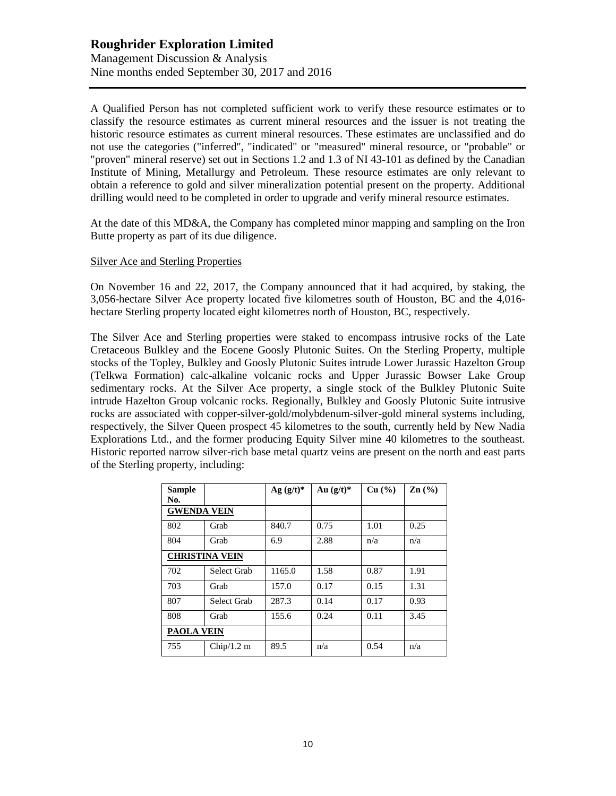#### **Roughrider Exploration Limited** Management Discussion & Analysis Nine months ended September 30, 2017 and 2016

A Qualified Person has not completed sufficient work to verify these resource estimates or to classify the resource estimates as current mineral resources and the issuer is not treating the historic resource estimates as current mineral resources. These estimates are unclassified and do not use the categories ("inferred", "indicated" or "measured" mineral resource, or "probable" or "proven" mineral reserve) set out in Sections 1.2 and 1.3 of NI 43-101 as defined by the Canadian Institute of Mining, Metallurgy and Petroleum. These resource estimates are only relevant to obtain a reference to gold and silver mineralization potential present on the property. Additional drilling would need to be completed in order to upgrade and verify mineral resource estimates.

At the date of this MD&A, the Company has completed minor mapping and sampling on the Iron Butte property as part of its due diligence.

#### Silver Ace and Sterling Properties

On November 16 and 22, 2017, the Company announced that it had acquired, by staking, the 3,056-hectare Silver Ace property located five kilometres south of Houston, BC and the 4,016 hectare Sterling property located eight kilometres north of Houston, BC, respectively.

The Silver Ace and Sterling properties were staked to encompass intrusive rocks of the Late Cretaceous Bulkley and the Eocene Goosly Plutonic Suites. On the Sterling Property, multiple stocks of the Topley, Bulkley and Goosly Plutonic Suites intrude Lower Jurassic Hazelton Group (Telkwa Formation) calc-alkaline volcanic rocks and Upper Jurassic Bowser Lake Group sedimentary rocks. At the Silver Ace property, a single stock of the Bulkley Plutonic Suite intrude Hazelton Group volcanic rocks. Regionally, Bulkley and Goosly Plutonic Suite intrusive rocks are associated with copper-silver-gold/molybdenum-silver-gold mineral systems including, respectively, the Silver Queen prospect 45 kilometres to the south, currently held by New Nadia Explorations Ltd., and the former producing Equity Silver mine 40 kilometres to the southeast. Historic reported narrow silver-rich base metal quartz veins are present on the north and east parts of the Sterling property, including:

| <b>Sample</b><br>No.  |             | Ag $(g/t)^*$ | Au $(g/t)^*$ | Cu (%) | $\mathbf{Zn}$ (%) |
|-----------------------|-------------|--------------|--------------|--------|-------------------|
| <b>GWENDA VEIN</b>    |             |              |              |        |                   |
| 802                   | Grab        | 840.7        | 0.75         | 1.01   | 0.25              |
| 804                   | Grab        | 6.9          | 2.88         | n/a    | n/a               |
| <b>CHRISTINA VEIN</b> |             |              |              |        |                   |
| 702                   | Select Grab | 1165.0       | 1.58         | 0.87   | 1.91              |
| 703                   | Grab        | 157.0        | 0.17         | 0.15   | 1.31              |
| 807                   | Select Grab | 287.3        | 0.14         | 0.17   | 0.93              |
| 808                   | Grab        | 155.6        | 0.24         | 0.11   | 3.45              |
| <b>PAOLA VEIN</b>     |             |              |              |        |                   |
| 755                   | Chip/1.2 m  | 89.5         | n/a          | 0.54   | n/a               |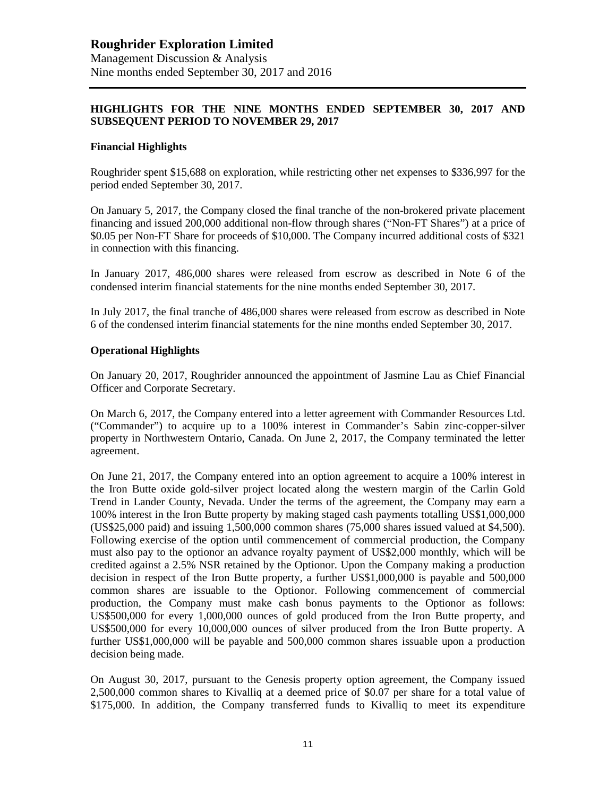#### **HIGHLIGHTS FOR THE NINE MONTHS ENDED SEPTEMBER 30, 2017 AND SUBSEQUENT PERIOD TO NOVEMBER 29, 2017**

#### **Financial Highlights**

Roughrider spent \$15,688 on exploration, while restricting other net expenses to \$336,997 for the period ended September 30, 2017.

On January 5, 2017, the Company closed the final tranche of the non-brokered private placement financing and issued 200,000 additional non-flow through shares ("Non-FT Shares") at a price of \$0.05 per Non-FT Share for proceeds of \$10,000. The Company incurred additional costs of \$321 in connection with this financing.

In January 2017, 486,000 shares were released from escrow as described in Note 6 of the condensed interim financial statements for the nine months ended September 30, 2017.

In July 2017, the final tranche of 486,000 shares were released from escrow as described in Note 6 of the condensed interim financial statements for the nine months ended September 30, 2017.

#### **Operational Highlights**

On January 20, 2017, Roughrider announced the appointment of Jasmine Lau as Chief Financial Officer and Corporate Secretary.

On March 6, 2017, the Company entered into a letter agreement with Commander Resources Ltd. ("Commander") to acquire up to a 100% interest in Commander's Sabin zinc-copper-silver property in Northwestern Ontario, Canada. On June 2, 2017, the Company terminated the letter agreement.

On June 21, 2017, the Company entered into an option agreement to acquire a 100% interest in the Iron Butte oxide gold-silver project located along the western margin of the Carlin Gold Trend in Lander County, Nevada. Under the terms of the agreement, the Company may earn a 100% interest in the Iron Butte property by making staged cash payments totalling US\$1,000,000 (US\$25,000 paid) and issuing 1,500,000 common shares (75,000 shares issued valued at \$4,500). Following exercise of the option until commencement of commercial production, the Company must also pay to the optionor an advance royalty payment of US\$2,000 monthly, which will be credited against a 2.5% NSR retained by the Optionor. Upon the Company making a production decision in respect of the Iron Butte property, a further US\$1,000,000 is payable and 500,000 common shares are issuable to the Optionor. Following commencement of commercial production, the Company must make cash bonus payments to the Optionor as follows: US\$500,000 for every 1,000,000 ounces of gold produced from the Iron Butte property, and US\$500,000 for every 10,000,000 ounces of silver produced from the Iron Butte property. A further US\$1,000,000 will be payable and 500,000 common shares issuable upon a production decision being made.

On August 30, 2017, pursuant to the Genesis property option agreement, the Company issued 2,500,000 common shares to Kivalliq at a deemed price of \$0.07 per share for a total value of \$175,000. In addition, the Company transferred funds to Kivalliq to meet its expenditure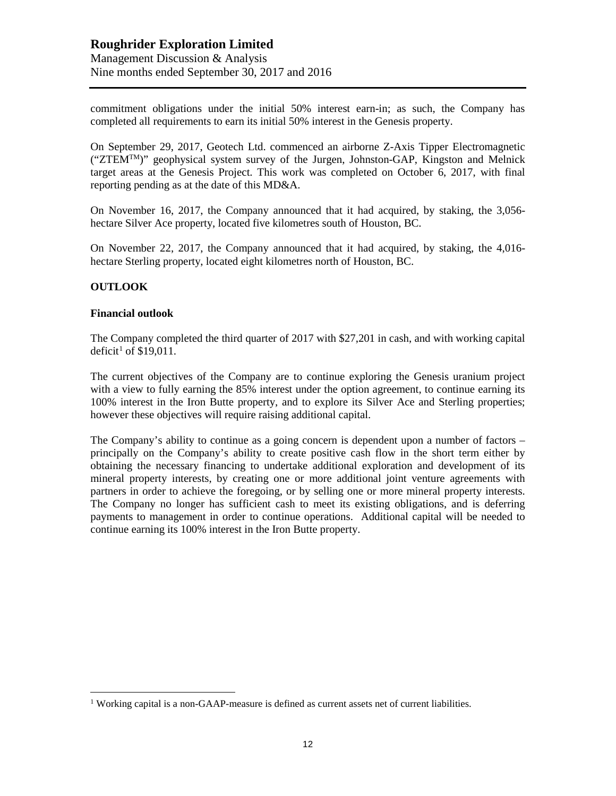commitment obligations under the initial 50% interest earn-in; as such, the Company has completed all requirements to earn its initial 50% interest in the Genesis property.

On September 29, 2017, Geotech Ltd. commenced an airborne Z-Axis Tipper Electromagnetic (" $ZTEM^{TM}$ ")" geophysical system survey of the Jurgen, Johnston-GAP, Kingston and Melnick target areas at the Genesis Project. This work was completed on October 6, 2017, with final reporting pending as at the date of this MD&A.

On November 16, 2017, the Company announced that it had acquired, by staking, the 3,056 hectare Silver Ace property, located five kilometres south of Houston, BC.

On November 22, 2017, the Company announced that it had acquired, by staking, the 4,016 hectare Sterling property, located eight kilometres north of Houston, BC.

#### **OUTLOOK**

#### **Financial outlook**

The Company completed the third quarter of 2017 with \$27,201 in cash, and with working capital deficit<sup>[1](#page-11-0)</sup> of  $$19,011$ .

The current objectives of the Company are to continue exploring the Genesis uranium project with a view to fully earning the 85% interest under the option agreement, to continue earning its 100% interest in the Iron Butte property, and to explore its Silver Ace and Sterling properties; however these objectives will require raising additional capital.

The Company's ability to continue as a going concern is dependent upon a number of factors – principally on the Company's ability to create positive cash flow in the short term either by obtaining the necessary financing to undertake additional exploration and development of its mineral property interests, by creating one or more additional joint venture agreements with partners in order to achieve the foregoing, or by selling one or more mineral property interests. The Company no longer has sufficient cash to meet its existing obligations, and is deferring payments to management in order to continue operations. Additional capital will be needed to continue earning its 100% interest in the Iron Butte property.

<span id="page-11-0"></span> $1$  Working capital is a non-GAAP-measure is defined as current assets net of current liabilities.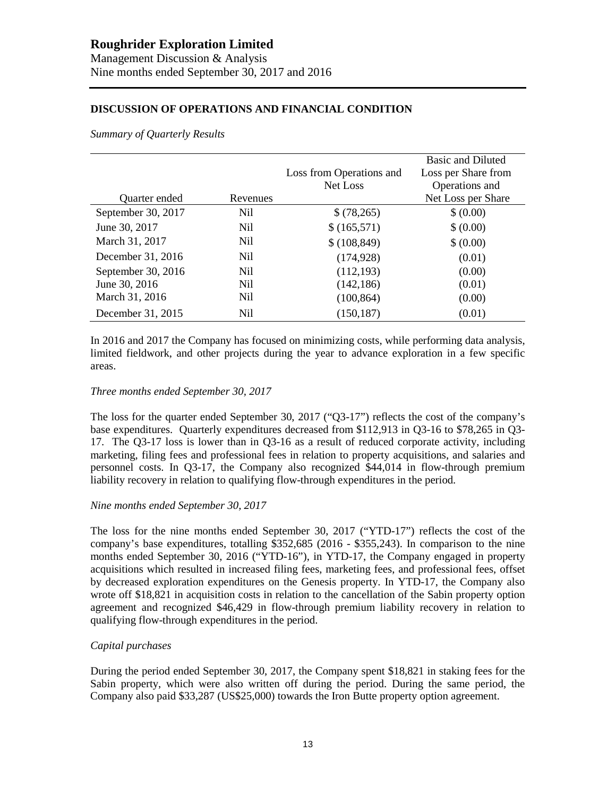#### **DISCUSSION OF OPERATIONS AND FINANCIAL CONDITION**

*Summary of Quarterly Results*

|                    |                 |                          | <b>Basic and Diluted</b> |
|--------------------|-----------------|--------------------------|--------------------------|
|                    |                 | Loss from Operations and | Loss per Share from      |
|                    |                 | Net Loss                 | Operations and           |
| Quarter ended      | Revenues        |                          | Net Loss per Share       |
| September 30, 2017 | Nil             | \$(78,265)               | \$ (0.00)                |
| June 30, 2017      | N <sub>il</sub> | \$(165,571)              | \$ (0.00)                |
| March 31, 2017     | N <sub>il</sub> | \$(108, 849)             | \$ (0.00)                |
| December 31, 2016  | N <sub>il</sub> | (174, 928)               | (0.01)                   |
| September 30, 2016 | N <sub>il</sub> | (112, 193)               | (0.00)                   |
| June 30, 2016      | N <sub>il</sub> | (142, 186)               | (0.01)                   |
| March 31, 2016     | N <sub>il</sub> | (100, 864)               | (0.00)                   |
| December 31, 2015  | Nil             | (150, 187)               | (0.01)                   |

In 2016 and 2017 the Company has focused on minimizing costs, while performing data analysis, limited fieldwork, and other projects during the year to advance exploration in a few specific areas.

#### *Three months ended September 30, 2017*

The loss for the quarter ended September 30, 2017 ("Q3-17") reflects the cost of the company's base expenditures. Quarterly expenditures decreased from \$112,913 in Q3-16 to \$78,265 in Q3- 17. The Q3-17 loss is lower than in Q3-16 as a result of reduced corporate activity, including marketing, filing fees and professional fees in relation to property acquisitions, and salaries and personnel costs. In Q3-17, the Company also recognized \$44,014 in flow-through premium liability recovery in relation to qualifying flow-through expenditures in the period.

#### *Nine months ended September 30, 2017*

The loss for the nine months ended September 30, 2017 ("YTD-17") reflects the cost of the company's base expenditures, totalling \$352,685 (2016 - \$355,243). In comparison to the nine months ended September 30, 2016 ("YTD-16"), in YTD-17, the Company engaged in property acquisitions which resulted in increased filing fees, marketing fees, and professional fees, offset by decreased exploration expenditures on the Genesis property. In YTD-17, the Company also wrote off \$18,821 in acquisition costs in relation to the cancellation of the Sabin property option agreement and recognized \$46,429 in flow-through premium liability recovery in relation to qualifying flow-through expenditures in the period.

#### *Capital purchases*

During the period ended September 30, 2017, the Company spent \$18,821 in staking fees for the Sabin property, which were also written off during the period. During the same period, the Company also paid \$33,287 (US\$25,000) towards the Iron Butte property option agreement.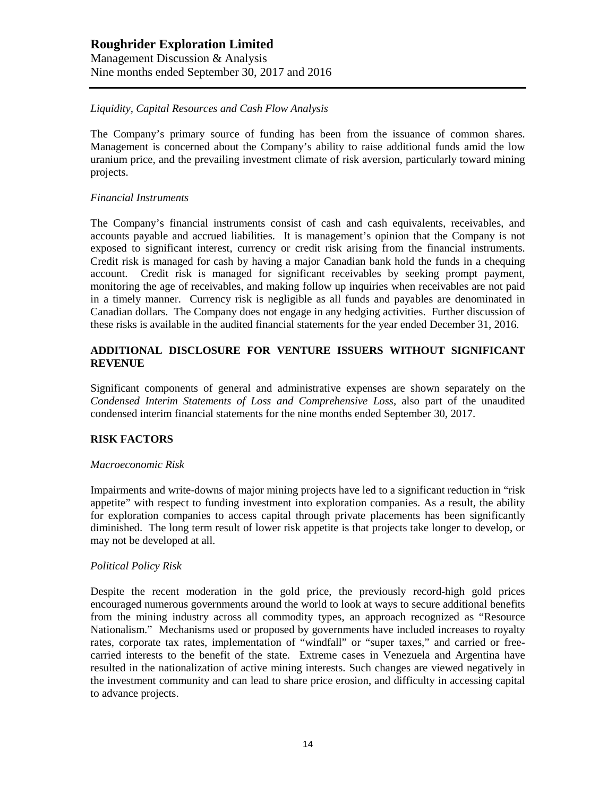Management Discussion & Analysis Nine months ended September 30, 2017 and 2016

#### *Liquidity, Capital Resources and Cash Flow Analysis*

The Company's primary source of funding has been from the issuance of common shares. Management is concerned about the Company's ability to raise additional funds amid the low uranium price, and the prevailing investment climate of risk aversion, particularly toward mining projects.

#### *Financial Instruments*

The Company's financial instruments consist of cash and cash equivalents, receivables, and accounts payable and accrued liabilities. It is management's opinion that the Company is not exposed to significant interest, currency or credit risk arising from the financial instruments. Credit risk is managed for cash by having a major Canadian bank hold the funds in a chequing account. Credit risk is managed for significant receivables by seeking prompt payment, monitoring the age of receivables, and making follow up inquiries when receivables are not paid in a timely manner. Currency risk is negligible as all funds and payables are denominated in Canadian dollars. The Company does not engage in any hedging activities. Further discussion of these risks is available in the audited financial statements for the year ended December 31, 2016.

#### **ADDITIONAL DISCLOSURE FOR VENTURE ISSUERS WITHOUT SIGNIFICANT REVENUE**

Significant components of general and administrative expenses are shown separately on the *Condensed Interim Statements of Loss and Comprehensive Loss,* also part of the unaudited condensed interim financial statements for the nine months ended September 30, 2017.

#### **RISK FACTORS**

#### *Macroeconomic Risk*

Impairments and write-downs of major mining projects have led to a significant reduction in "risk appetite" with respect to funding investment into exploration companies. As a result, the ability for exploration companies to access capital through private placements has been significantly diminished. The long term result of lower risk appetite is that projects take longer to develop, or may not be developed at all.

#### *Political Policy Risk*

Despite the recent moderation in the gold price, the previously record-high gold prices encouraged numerous governments around the world to look at ways to secure additional benefits from the mining industry across all commodity types, an approach recognized as "Resource Nationalism." Mechanisms used or proposed by governments have included increases to royalty rates, corporate tax rates, implementation of "windfall" or "super taxes," and carried or freecarried interests to the benefit of the state. Extreme cases in Venezuela and Argentina have resulted in the nationalization of active mining interests. Such changes are viewed negatively in the investment community and can lead to share price erosion, and difficulty in accessing capital to advance projects.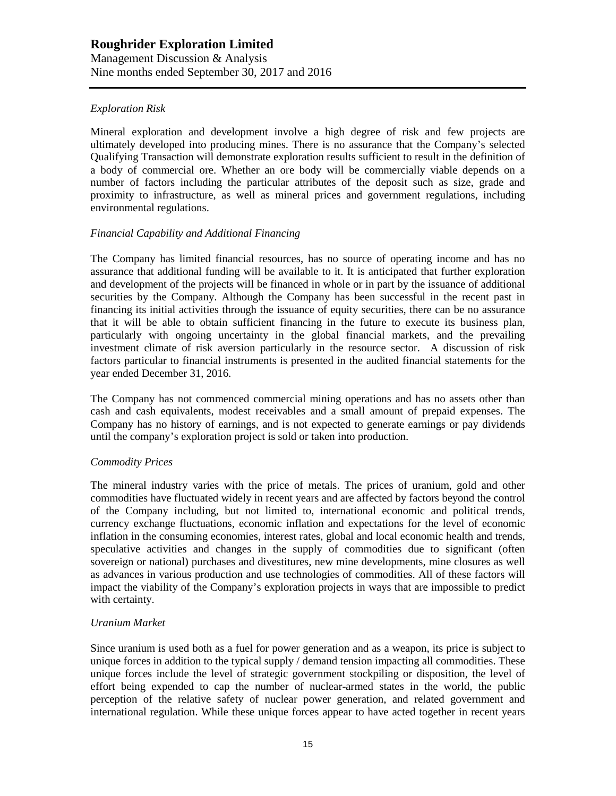Management Discussion & Analysis Nine months ended September 30, 2017 and 2016

#### *Exploration Risk*

Mineral exploration and development involve a high degree of risk and few projects are ultimately developed into producing mines. There is no assurance that the Company's selected Qualifying Transaction will demonstrate exploration results sufficient to result in the definition of a body of commercial ore. Whether an ore body will be commercially viable depends on a number of factors including the particular attributes of the deposit such as size, grade and proximity to infrastructure, as well as mineral prices and government regulations, including environmental regulations.

#### *Financial Capability and Additional Financing*

The Company has limited financial resources, has no source of operating income and has no assurance that additional funding will be available to it. It is anticipated that further exploration and development of the projects will be financed in whole or in part by the issuance of additional securities by the Company. Although the Company has been successful in the recent past in financing its initial activities through the issuance of equity securities, there can be no assurance that it will be able to obtain sufficient financing in the future to execute its business plan, particularly with ongoing uncertainty in the global financial markets, and the prevailing investment climate of risk aversion particularly in the resource sector. A discussion of risk factors particular to financial instruments is presented in the audited financial statements for the year ended December 31, 2016.

The Company has not commenced commercial mining operations and has no assets other than cash and cash equivalents, modest receivables and a small amount of prepaid expenses. The Company has no history of earnings, and is not expected to generate earnings or pay dividends until the company's exploration project is sold or taken into production.

#### *Commodity Prices*

The mineral industry varies with the price of metals. The prices of uranium, gold and other commodities have fluctuated widely in recent years and are affected by factors beyond the control of the Company including, but not limited to, international economic and political trends, currency exchange fluctuations, economic inflation and expectations for the level of economic inflation in the consuming economies, interest rates, global and local economic health and trends, speculative activities and changes in the supply of commodities due to significant (often sovereign or national) purchases and divestitures, new mine developments, mine closures as well as advances in various production and use technologies of commodities. All of these factors will impact the viability of the Company's exploration projects in ways that are impossible to predict with certainty.

#### *Uranium Market*

Since uranium is used both as a fuel for power generation and as a weapon, its price is subject to unique forces in addition to the typical supply / demand tension impacting all commodities. These unique forces include the level of strategic government stockpiling or disposition, the level of effort being expended to cap the number of nuclear-armed states in the world, the public perception of the relative safety of nuclear power generation, and related government and international regulation. While these unique forces appear to have acted together in recent years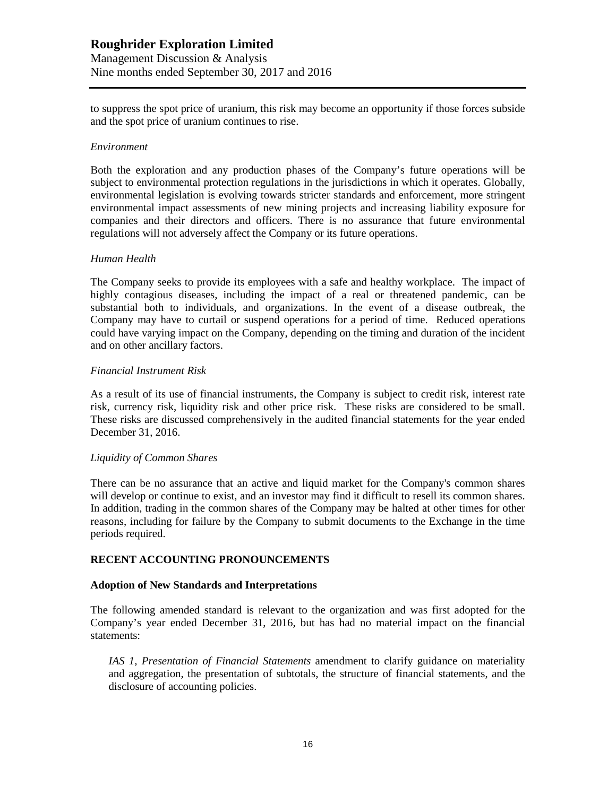to suppress the spot price of uranium, this risk may become an opportunity if those forces subside and the spot price of uranium continues to rise.

#### *Environment*

Both the exploration and any production phases of the Company's future operations will be subject to environmental protection regulations in the jurisdictions in which it operates. Globally, environmental legislation is evolving towards stricter standards and enforcement, more stringent environmental impact assessments of new mining projects and increasing liability exposure for companies and their directors and officers. There is no assurance that future environmental regulations will not adversely affect the Company or its future operations.

#### *Human Health*

The Company seeks to provide its employees with a safe and healthy workplace. The impact of highly contagious diseases, including the impact of a real or threatened pandemic, can be substantial both to individuals, and organizations. In the event of a disease outbreak, the Company may have to curtail or suspend operations for a period of time. Reduced operations could have varying impact on the Company, depending on the timing and duration of the incident and on other ancillary factors.

#### *Financial Instrument Risk*

As a result of its use of financial instruments, the Company is subject to credit risk, interest rate risk, currency risk, liquidity risk and other price risk. These risks are considered to be small. These risks are discussed comprehensively in the audited financial statements for the year ended December 31, 2016.

#### *Liquidity of Common Shares*

There can be no assurance that an active and liquid market for the Company's common shares will develop or continue to exist, and an investor may find it difficult to resell its common shares. In addition, trading in the common shares of the Company may be halted at other times for other reasons, including for failure by the Company to submit documents to the Exchange in the time periods required.

#### **RECENT ACCOUNTING PRONOUNCEMENTS**

#### **Adoption of New Standards and Interpretations**

The following amended standard is relevant to the organization and was first adopted for the Company's year ended December 31, 2016, but has had no material impact on the financial statements:

*IAS 1, Presentation of Financial Statements* amendment to clarify guidance on materiality and aggregation, the presentation of subtotals, the structure of financial statements, and the disclosure of accounting policies.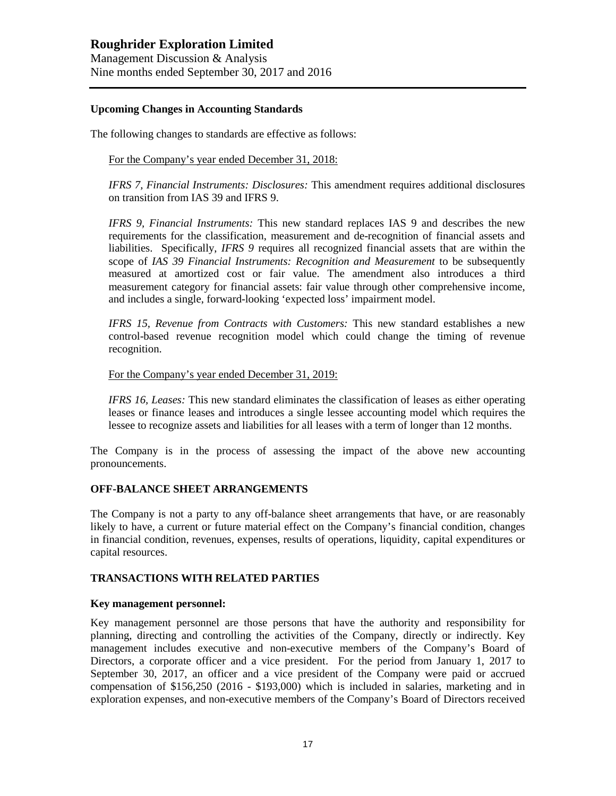Management Discussion & Analysis Nine months ended September 30, 2017 and 2016

#### **Upcoming Changes in Accounting Standards**

The following changes to standards are effective as follows:

For the Company's year ended December 31, 2018:

*IFRS 7, Financial Instruments: Disclosures:* This amendment requires additional disclosures on transition from IAS 39 and IFRS 9.

*IFRS 9, Financial Instruments:* This new standard replaces IAS 9 and describes the new requirements for the classification, measurement and de-recognition of financial assets and liabilities. Specifically, *IFRS 9* requires all recognized financial assets that are within the scope of *IAS 39 Financial Instruments: Recognition and Measurement* to be subsequently measured at amortized cost or fair value. The amendment also introduces a third measurement category for financial assets: fair value through other comprehensive income, and includes a single, forward-looking 'expected loss' impairment model.

*IFRS 15, Revenue from Contracts with Customers:* This new standard establishes a new control-based revenue recognition model which could change the timing of revenue recognition.

#### For the Company's year ended December 31, 2019:

*IFRS 16, Leases:* This new standard eliminates the classification of leases as either operating leases or finance leases and introduces a single lessee accounting model which requires the lessee to recognize assets and liabilities for all leases with a term of longer than 12 months.

The Company is in the process of assessing the impact of the above new accounting pronouncements.

#### **OFF-BALANCE SHEET ARRANGEMENTS**

The Company is not a party to any off-balance sheet arrangements that have, or are reasonably likely to have, a current or future material effect on the Company's financial condition, changes in financial condition, revenues, expenses, results of operations, liquidity, capital expenditures or capital resources.

#### **TRANSACTIONS WITH RELATED PARTIES**

#### **Key management personnel:**

Key management personnel are those persons that have the authority and responsibility for planning, directing and controlling the activities of the Company, directly or indirectly. Key management includes executive and non-executive members of the Company's Board of Directors, a corporate officer and a vice president. For the period from January 1, 2017 to September 30, 2017, an officer and a vice president of the Company were paid or accrued compensation of \$156,250 (2016 - \$193,000) which is included in salaries, marketing and in exploration expenses, and non-executive members of the Company's Board of Directors received